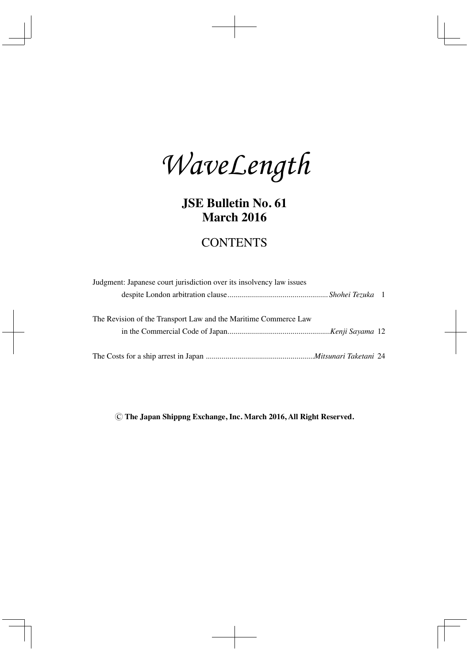WaveLength

**JSE Bulletin No. 61 March 2016**

# **CONTENTS**

| Judgment: Japanese court jurisdiction over its insolvency law issues |  |
|----------------------------------------------------------------------|--|
|                                                                      |  |
|                                                                      |  |
| The Revision of the Transport Law and the Maritime Commerce Law      |  |
|                                                                      |  |
|                                                                      |  |
|                                                                      |  |

**Ⓒ The Japan Shippng Exchange, Inc. March 2016, All Right Reserved.**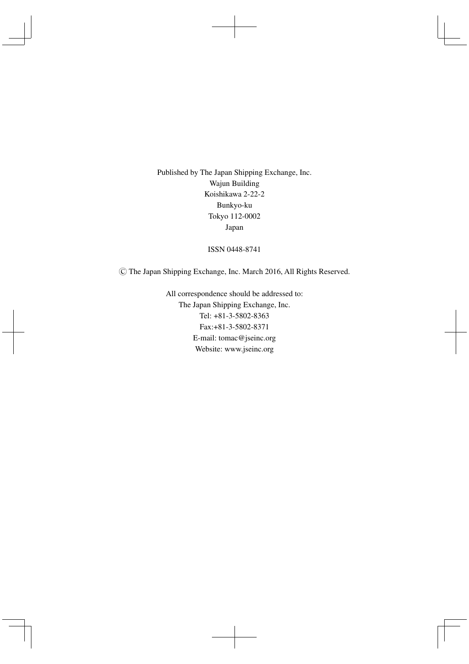Published by The Japan Shipping Exchange, Inc. Wajun Building Koishikawa 2-22-2 Bunkyo-ku Tokyo 112-0002 Japan

ISSN 0448-8741

**Ⓒ** The Japan Shipping Exchange, Inc. March 2016, All Rights Reserved.

All correspondence should be addressed to: The Japan Shipping Exchange, Inc. Tel: +81-3-5802-8363 Fax:+81-3-5802-8371 E-mail: tomac@jseinc.org Website: www.jseinc.org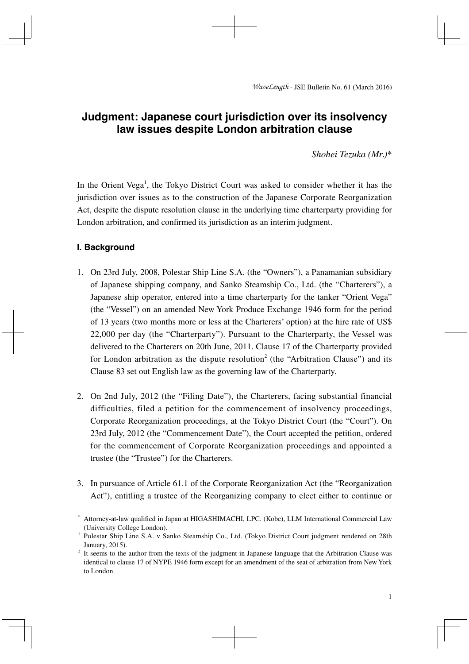# **Judgment: Japanese court jurisdiction over its insolvency law issues despite London arbitration clause**

*Shohei Tezuka (Mr.)\** 

In the Orient Vega<sup>1</sup>, the Tokyo District Court was asked to consider whether it has the jurisdiction over issues as to the construction of the Japanese Corporate Reorganization Act, despite the dispute resolution clause in the underlying time charterparty providing for London arbitration, and confirmed its jurisdiction as an interim judgment.

# **I. Background**

- 1. On 23rd July, 2008, Polestar Ship Line S.A. (the "Owners"), a Panamanian subsidiary of Japanese shipping company, and Sanko Steamship Co., Ltd. (the "Charterers"), a Japanese ship operator, entered into a time charterparty for the tanker "Orient Vega" (the "Vessel") on an amended New York Produce Exchange 1946 form for the period of 13 years (two months more or less at the Charterers' option) at the hire rate of US\$ 22,000 per day (the "Charterparty"). Pursuant to the Charterparty, the Vessel was delivered to the Charterers on 20th June, 2011. Clause 17 of the Charterparty provided for London arbitration as the dispute resolution<sup>2</sup> (the "Arbitration Clause") and its Clause 83 set out English law as the governing law of the Charterparty.
- 2. On 2nd July, 2012 (the "Filing Date"), the Charterers, facing substantial financial difficulties, filed a petition for the commencement of insolvency proceedings, Corporate Reorganization proceedings, at the Tokyo District Court (the "Court"). On 23rd July, 2012 (the "Commencement Date"), the Court accepted the petition, ordered for the commencement of Corporate Reorganization proceedings and appointed a trustee (the "Trustee") for the Charterers.
- 3. In pursuance of Article 61.1 of the Corporate Reorganization Act (the "Reorganization Act"), entitling a trustee of the Reorganizing company to elect either to continue or

<sup>\*</sup> Attorney-at-law qualified in Japan at HIGASHIMACHI, LPC. (Kobe), LLM International Commercial Law (University College London).

<sup>1</sup> Polestar Ship Line S.A. v Sanko Steamship Co., Ltd. (Tokyo District Court judgment rendered on 28th January, 2015).

<sup>&</sup>lt;sup>2</sup> It seems to the author from the texts of the judgment in Japanese language that the Arbitration Clause was identical to clause 17 of NYPE 1946 form except for an amendment of the seat of arbitration from New York to London.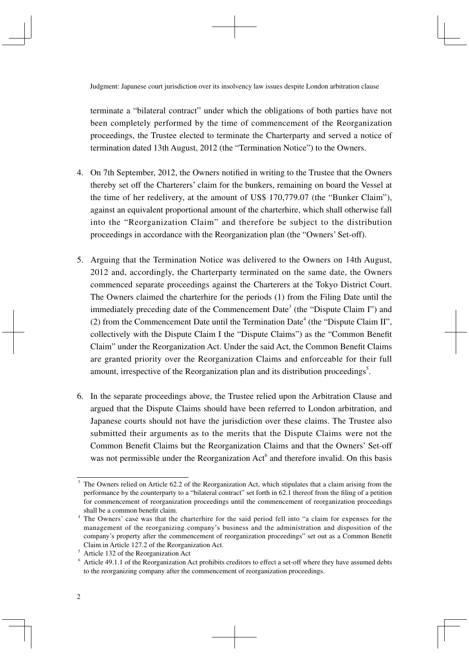terminate a "bilateral contract" under which the obligations of both parties have not been completely performed by the time of commencement of the Reorganization proceedings, the Trustee elected to terminate the Charterparty and served a notice of termination dated 13th August, 2012 (the "Termination Notice") to the Owners.

- 4. On 7th September, 2012, the Owners notified in writing to the Trustee that the Owners thereby set off the Charterers' claim for the bunkers, remaining on board the Vessel at the time of her redelivery, at the amount of US\$ 170,779.07 (the "Bunker Claim"), against an equivalent proportional amount of the charterhire, which shall otherwise fall into the "Reorganization Claim" and therefore be subject to the distribution proceedings in accordance with the Reorganization plan (the "Owners' Set-off).
- 5. Arguing that the Termination Notice was delivered to the Owners on 14th August, 2012 and, accordingly, the Charterparty terminated on the same date, the Owners commenced separate proceedings against the Charterers at the Tokyo District Court. The Owners claimed the charterhire for the periods (1) from the Filing Date until the immediately preceding date of the Commencement Date<sup>3</sup> (the "Dispute Claim I") and (2) from the Commencement Date until the Termination Date<sup>4</sup> (the "Dispute Claim II", collectively with the Dispute Claim I the "Dispute Claims") as the "Common Benefi t Claim" under the Reorganization Act. Under the said Act, the Common Benefi t Claims are granted priority over the Reorganization Claims and enforceable for their full amount, irrespective of the Reorganization plan and its distribution proceedings<sup>5</sup>.
- 6. In the separate proceedings above, the Trustee relied upon the Arbitration Clause and argued that the Dispute Claims should have been referred to London arbitration, and Japanese courts should not have the jurisdiction over these claims. The Trustee also submitted their arguments as to the merits that the Dispute Claims were not the Common Benefit Claims but the Reorganization Claims and that the Owners' Set-off was not permissible under the Reorganization  $Act<sup>6</sup>$  and therefore invalid. On this basis

<sup>3</sup> The Owners relied on Article 62.2 of the Reorganization Act, which stipulates that a claim arising from the performance by the counterparty to a "bilateral contract" set forth in 62.1 thereof from the filing of a petition for commencement of reorganization proceedings until the commencement of reorganization proceedings shall be a common benefit claim.

<sup>4</sup> The Owners' case was that the charterhire for the said period fell into "a claim for expenses for the management of the reorganizing company's business and the administration and disposition of the company's property after the commencement of reorganization proceedings" set out as a Common Benefit Claim in Article 127.2 of the Reorganization Act. 5

Article 132 of the Reorganization Act<sup>6</sup> Article 40.1.1 of the Beography

Article 49.1.1 of the Reorganization Act prohibits creditors to effect a set-off where they have assumed debts to the reorganizing company after the commencement of reorganization proceedings.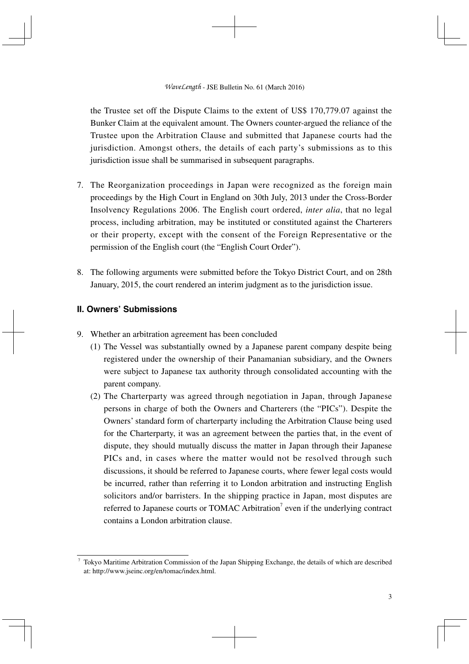the Trustee set off the Dispute Claims to the extent of US\$ 170,779.07 against the Bunker Claim at the equivalent amount. The Owners counter-argued the reliance of the Trustee upon the Arbitration Clause and submitted that Japanese courts had the jurisdiction. Amongst others, the details of each party's submissions as to this jurisdiction issue shall be summarised in subsequent paragraphs.

- 7. The Reorganization proceedings in Japan were recognized as the foreign main proceedings by the High Court in England on 30th July, 2013 under the Cross-Border Insolvency Regulations 2006. The English court ordered, *inter alia*, that no legal process, including arbitration, may be instituted or constituted against the Charterers or their property, except with the consent of the Foreign Representative or the permission of the English court (the "English Court Order").
- 8. The following arguments were submitted before the Tokyo District Court, and on 28th January, 2015, the court rendered an interim judgment as to the jurisdiction issue.

## **II. Owners' Submissions**

- 9. Whether an arbitration agreement has been concluded
	- (1) The Vessel was substantially owned by a Japanese parent company despite being registered under the ownership of their Panamanian subsidiary, and the Owners were subject to Japanese tax authority through consolidated accounting with the parent company.
	- (2) The Charterparty was agreed through negotiation in Japan, through Japanese persons in charge of both the Owners and Charterers (the "PICs"). Despite the Owners' standard form of charterparty including the Arbitration Clause being used for the Charterparty, it was an agreement between the parties that, in the event of dispute, they should mutually discuss the matter in Japan through their Japanese PICs and, in cases where the matter would not be resolved through such discussions, it should be referred to Japanese courts, where fewer legal costs would be incurred, rather than referring it to London arbitration and instructing English solicitors and/or barristers. In the shipping practice in Japan, most disputes are referred to Japanese courts or TOMAC Arbitration<sup>7</sup> even if the underlying contract contains a London arbitration clause.

<sup>7</sup> Tokyo Maritime Arbitration Commission of the Japan Shipping Exchange, the details of which are described at: http://www.jseinc.org/en/tomac/index.html.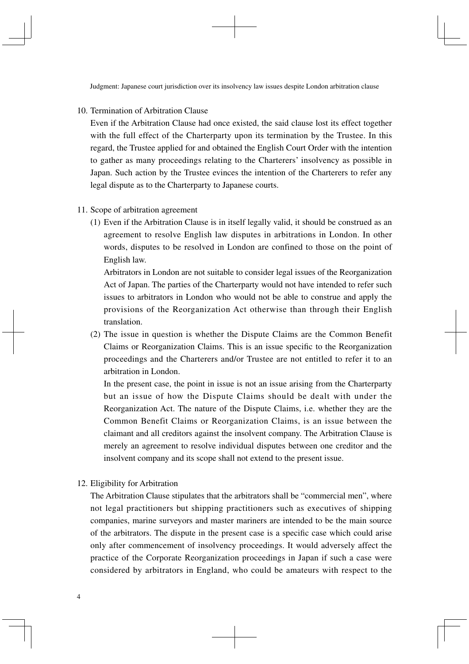Judgment: Japanese court jurisdiction over its insolvency law issues despite London arbitration clause

10. Termination of Arbitration Clause

 Even if the Arbitration Clause had once existed, the said clause lost its effect together with the full effect of the Charterparty upon its termination by the Trustee. In this regard, the Trustee applied for and obtained the English Court Order with the intention to gather as many proceedings relating to the Charterers' insolvency as possible in Japan. Such action by the Trustee evinces the intention of the Charterers to refer any legal dispute as to the Charterparty to Japanese courts.

#### 11. Scope of arbitration agreement

(1) Even if the Arbitration Clause is in itself legally valid, it should be construed as an agreement to resolve English law disputes in arbitrations in London. In other words, disputes to be resolved in London are confined to those on the point of English law.

 Arbitrators in London are not suitable to consider legal issues of the Reorganization Act of Japan. The parties of the Charterparty would not have intended to refer such issues to arbitrators in London who would not be able to construe and apply the provisions of the Reorganization Act otherwise than through their English translation.

(2) The issue in question is whether the Dispute Claims are the Common Benefit Claims or Reorganization Claims. This is an issue specifi c to the Reorganization proceedings and the Charterers and/or Trustee are not entitled to refer it to an arbitration in London.

 In the present case, the point in issue is not an issue arising from the Charterparty but an issue of how the Dispute Claims should be dealt with under the Reorganization Act. The nature of the Dispute Claims, i.e. whether they are the Common Benefit Claims or Reorganization Claims, is an issue between the claimant and all creditors against the insolvent company. The Arbitration Clause is merely an agreement to resolve individual disputes between one creditor and the insolvent company and its scope shall not extend to the present issue.

12. Eligibility for Arbitration

 The Arbitration Clause stipulates that the arbitrators shall be "commercial men", where not legal practitioners but shipping practitioners such as executives of shipping companies, marine surveyors and master mariners are intended to be the main source of the arbitrators. The dispute in the present case is a specifi c case which could arise only after commencement of insolvency proceedings. It would adversely affect the practice of the Corporate Reorganization proceedings in Japan if such a case were considered by arbitrators in England, who could be amateurs with respect to the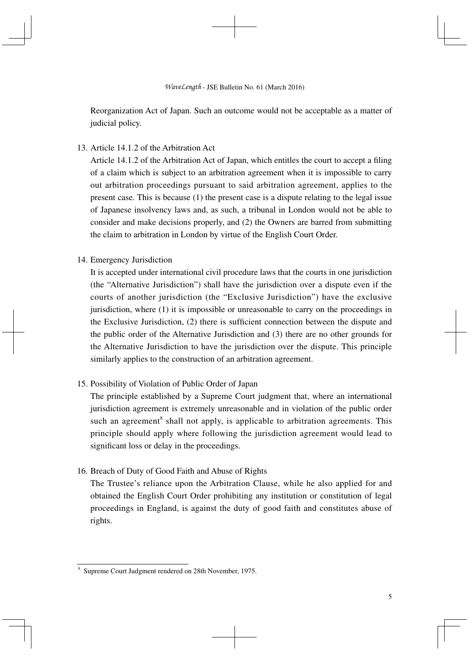Reorganization Act of Japan. Such an outcome would not be acceptable as a matter of judicial policy.

13. Article 14.1.2 of the Arbitration Act

Article  $14.1.2$  of the Arbitration Act of Japan, which entitles the court to accept a filing of a claim which is subject to an arbitration agreement when it is impossible to carry out arbitration proceedings pursuant to said arbitration agreement, applies to the present case. This is because (1) the present case is a dispute relating to the legal issue of Japanese insolvency laws and, as such, a tribunal in London would not be able to consider and make decisions properly, and (2) the Owners are barred from submitting the claim to arbitration in London by virtue of the English Court Order.

## 14. Emergency Jurisdiction

 It is accepted under international civil procedure laws that the courts in one jurisdiction (the "Alternative Jurisdiction") shall have the jurisdiction over a dispute even if the courts of another jurisdiction (the "Exclusive Jurisdiction") have the exclusive jurisdiction, where (1) it is impossible or unreasonable to carry on the proceedings in the Exclusive Jurisdiction,  $(2)$  there is sufficient connection between the dispute and the public order of the Alternative Jurisdiction and (3) there are no other grounds for the Alternative Jurisdiction to have the jurisdiction over the dispute. This principle similarly applies to the construction of an arbitration agreement.

15. Possibility of Violation of Public Order of Japan

 The principle established by a Supreme Court judgment that, where an international jurisdiction agreement is extremely unreasonable and in violation of the public order such an agreement<sup>8</sup> shall not apply, is applicable to arbitration agreements. This principle should apply where following the jurisdiction agreement would lead to significant loss or delay in the proceedings.

16. Breach of Duty of Good Faith and Abuse of Rights

 The Trustee's reliance upon the Arbitration Clause, while he also applied for and obtained the English Court Order prohibiting any institution or constitution of legal proceedings in England, is against the duty of good faith and constitutes abuse of rights.

<sup>8</sup> Supreme Court Judgment rendered on 28th November, 1975.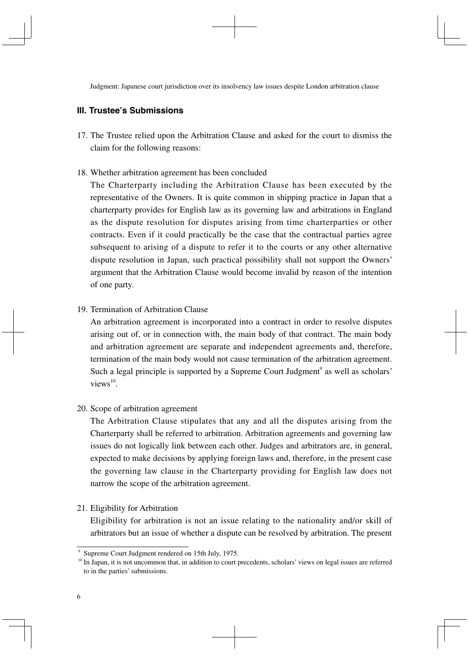Judgment: Japanese court jurisdiction over its insolvency law issues despite London arbitration clause

# **III. Trustee's Submissions**

17. The Trustee relied upon the Arbitration Clause and asked for the court to dismiss the claim for the following reasons:

#### 18. Whether arbitration agreement has been concluded

 The Charterparty including the Arbitration Clause has been executed by the representative of the Owners. It is quite common in shipping practice in Japan that a charterparty provides for English law as its governing law and arbitrations in England as the dispute resolution for disputes arising from time charterparties or other contracts. Even if it could practically be the case that the contractual parties agree subsequent to arising of a dispute to refer it to the courts or any other alternative dispute resolution in Japan, such practical possibility shall not support the Owners' argument that the Arbitration Clause would become invalid by reason of the intention of one party.

## 19. Termination of Arbitration Clause

 An arbitration agreement is incorporated into a contract in order to resolve disputes arising out of, or in connection with, the main body of that contract. The main body and arbitration agreement are separate and independent agreements and, therefore, termination of the main body would not cause termination of the arbitration agreement. Such a legal principle is supported by a Supreme Court Judgment<sup>9</sup> as well as scholars'  $views<sup>10</sup>$ .

#### 20. Scope of arbitration agreement

 The Arbitration Clause stipulates that any and all the disputes arising from the Charterparty shall be referred to arbitration. Arbitration agreements and governing law issues do not logically link between each other. Judges and arbitrators are, in general, expected to make decisions by applying foreign laws and, therefore, in the present case the governing law clause in the Charterparty providing for English law does not narrow the scope of the arbitration agreement.

#### 21. Eligibility for Arbitration

 Eligibility for arbitration is not an issue relating to the nationality and/or skill of arbitrators but an issue of whether a dispute can be resolved by arbitration. The present

<sup>9</sup> Supreme Court Judgment rendered on 15th July, 1975.

<sup>&</sup>lt;sup>10</sup> In Japan, it is not uncommon that, in addition to court precedents, scholars' views on legal issues are referred to in the parties' submissions.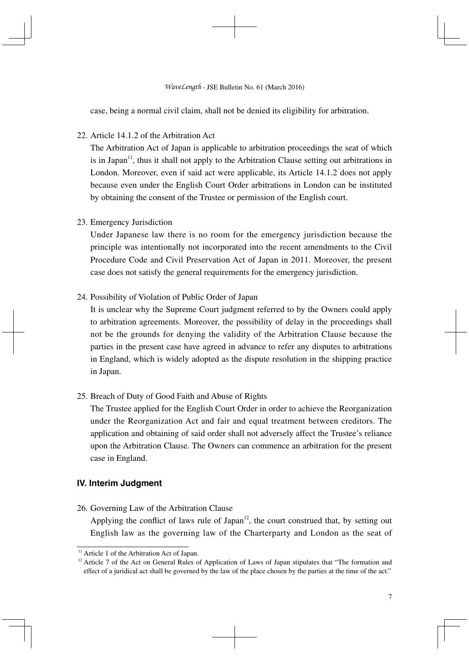case, being a normal civil claim, shall not be denied its eligibility for arbitration.

22. Article 14.1.2 of the Arbitration Act.

 The Arbitration Act of Japan is applicable to arbitration proceedings the seat of which is in Japan<sup>11</sup>, thus it shall not apply to the Arbitration Clause setting out arbitrations in London. Moreover, even if said act were applicable, its Article 14.1.2 does not apply because even under the English Court Order arbitrations in London can be instituted by obtaining the consent of the Trustee or permission of the English court.

## 23. Emergency Jurisdiction

 Under Japanese law there is no room for the emergency jurisdiction because the principle was intentionally not incorporated into the recent amendments to the Civil Procedure Code and Civil Preservation Act of Japan in 2011. Moreover, the present case does not satisfy the general requirements for the emergency jurisdiction.

24. Possibility of Violation of Public Order of Japan

 It is unclear why the Supreme Court judgment referred to by the Owners could apply to arbitration agreements. Moreover, the possibility of delay in the proceedings shall not be the grounds for denying the validity of the Arbitration Clause because the parties in the present case have agreed in advance to refer any disputes to arbitrations in England, which is widely adopted as the dispute resolution in the shipping practice in Japan.

25. Breach of Duty of Good Faith and Abuse of Rights

 The Trustee applied for the English Court Order in order to achieve the Reorganization under the Reorganization Act and fair and equal treatment between creditors. The application and obtaining of said order shall not adversely affect the Trustee's reliance upon the Arbitration Clause. The Owners can commence an arbitration for the present case in England.

# **IV. Interim Judgment**

26. Governing Law of the Arbitration Clause Applying the conflict of laws rule of Japan $12$ , the court construed that, by setting out English law as the governing law of the Charterparty and London as the seat of

<sup>&</sup>lt;sup>11</sup> Article 1 of the Arbitration Act of Japan.

<sup>&</sup>lt;sup>12</sup> Article 7 of the Act on General Rules of Application of Laws of Japan stipulates that "The formation and effect of a juridical act shall be governed by the law of the place chosen by the parties at the time of the act."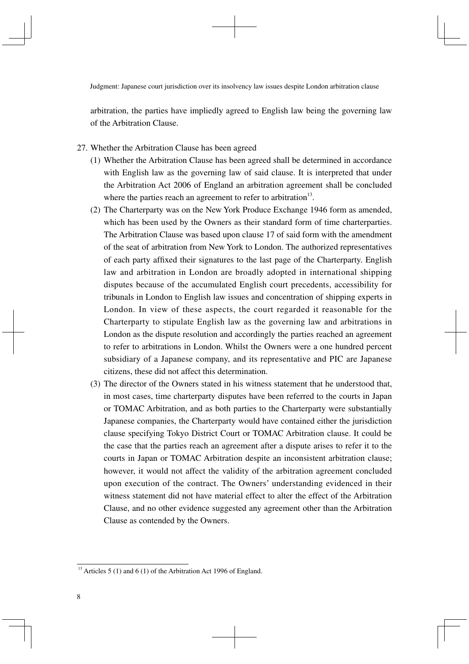arbitration, the parties have impliedly agreed to English law being the governing law of the Arbitration Clause.

- 27. Whether the Arbitration Clause has been agreed
	- (1) Whether the Arbitration Clause has been agreed shall be determined in accordance with English law as the governing law of said clause. It is interpreted that under the Arbitration Act 2006 of England an arbitration agreement shall be concluded where the parties reach an agreement to refer to arbitration $13$ .
	- (2) The Charterparty was on the New York Produce Exchange 1946 form as amended, which has been used by the Owners as their standard form of time charterparties. The Arbitration Clause was based upon clause 17 of said form with the amendment of the seat of arbitration from New York to London. The authorized representatives of each party affixed their signatures to the last page of the Charterparty. English law and arbitration in London are broadly adopted in international shipping disputes because of the accumulated English court precedents, accessibility for tribunals in London to English law issues and concentration of shipping experts in London. In view of these aspects, the court regarded it reasonable for the Charterparty to stipulate English law as the governing law and arbitrations in London as the dispute resolution and accordingly the parties reached an agreement to refer to arbitrations in London. Whilst the Owners were a one hundred percent subsidiary of a Japanese company, and its representative and PIC are Japanese citizens, these did not affect this determination.
	- (3) The director of the Owners stated in his witness statement that he understood that, in most cases, time charterparty disputes have been referred to the courts in Japan or TOMAC Arbitration, and as both parties to the Charterparty were substantially Japanese companies, the Charterparty would have contained either the jurisdiction clause specifying Tokyo District Court or TOMAC Arbitration clause. It could be the case that the parties reach an agreement after a dispute arises to refer it to the courts in Japan or TOMAC Arbitration despite an inconsistent arbitration clause; however, it would not affect the validity of the arbitration agreement concluded upon execution of the contract. The Owners' understanding evidenced in their witness statement did not have material effect to alter the effect of the Arbitration Clause, and no other evidence suggested any agreement other than the Arbitration Clause as contended by the Owners.

<sup>&</sup>lt;sup>13</sup> Articles 5 (1) and 6 (1) of the Arbitration Act 1996 of England.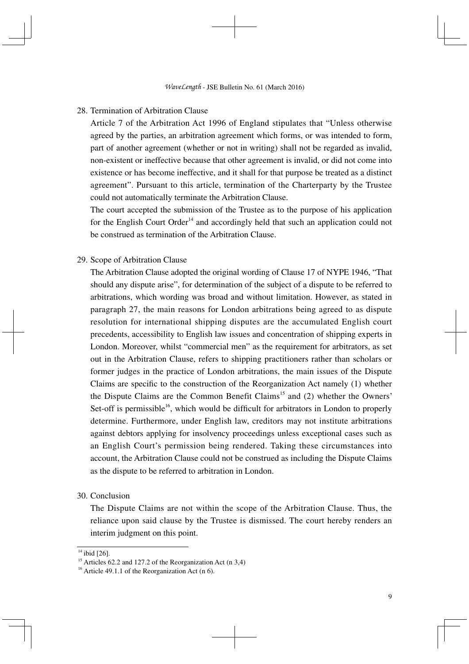#### 28. Termination of Arbitration Clause

 Article 7 of the Arbitration Act 1996 of England stipulates that "Unless otherwise agreed by the parties, an arbitration agreement which forms, or was intended to form, part of another agreement (whether or not in writing) shall not be regarded as invalid, non-existent or ineffective because that other agreement is invalid, or did not come into existence or has become ineffective, and it shall for that purpose be treated as a distinct agreement". Pursuant to this article, termination of the Charterparty by the Trustee could not automatically terminate the Arbitration Clause.

 The court accepted the submission of the Trustee as to the purpose of his application for the English Court Order<sup>14</sup> and accordingly held that such an application could not be construed as termination of the Arbitration Clause.

#### 29. Scope of Arbitration Clause

 The Arbitration Clause adopted the original wording of Clause 17 of NYPE 1946, "That should any dispute arise", for determination of the subject of a dispute to be referred to arbitrations, which wording was broad and without limitation. However, as stated in paragraph 27, the main reasons for London arbitrations being agreed to as dispute resolution for international shipping disputes are the accumulated English court precedents, accessibility to English law issues and concentration of shipping experts in London. Moreover, whilst "commercial men" as the requirement for arbitrators, as set out in the Arbitration Clause, refers to shipping practitioners rather than scholars or former judges in the practice of London arbitrations, the main issues of the Dispute Claims are specific to the construction of the Reorganization Act namely  $(1)$  whether the Dispute Claims are the Common Benefit Claims<sup>15</sup> and (2) whether the Owners' Set-off is permissible<sup>16</sup>, which would be difficult for arbitrators in London to properly determine. Furthermore, under English law, creditors may not institute arbitrations against debtors applying for insolvency proceedings unless exceptional cases such as an English Court's permission being rendered. Taking these circumstances into account, the Arbitration Clause could not be construed as including the Dispute Claims as the dispute to be referred to arbitration in London.

#### 30. Conclusion

 The Dispute Claims are not within the scope of the Arbitration Clause. Thus, the reliance upon said clause by the Trustee is dismissed. The court hereby renders an interim judgment on this point.

 $14$  ibid [26].

<sup>&</sup>lt;sup>15</sup> Articles 62.2 and 127.2 of the Reorganization Act  $(n 3,4)$ 

 $16$  Article 49.1.1 of the Reorganization Act (n 6).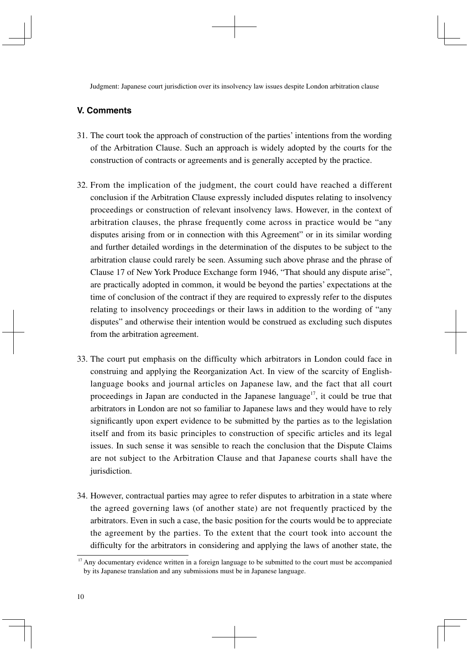Judgment: Japanese court jurisdiction over its insolvency law issues despite London arbitration clause

# **V. Comments**

- 31. The court took the approach of construction of the parties' intentions from the wording of the Arbitration Clause. Such an approach is widely adopted by the courts for the construction of contracts or agreements and is generally accepted by the practice.
- 32. From the implication of the judgment, the court could have reached a different conclusion if the Arbitration Clause expressly included disputes relating to insolvency proceedings or construction of relevant insolvency laws. However, in the context of arbitration clauses, the phrase frequently come across in practice would be "any disputes arising from or in connection with this Agreement" or in its similar wording and further detailed wordings in the determination of the disputes to be subject to the arbitration clause could rarely be seen. Assuming such above phrase and the phrase of Clause 17 of New York Produce Exchange form 1946, "That should any dispute arise", are practically adopted in common, it would be beyond the parties' expectations at the time of conclusion of the contract if they are required to expressly refer to the disputes relating to insolvency proceedings or their laws in addition to the wording of "any disputes" and otherwise their intention would be construed as excluding such disputes from the arbitration agreement.
- 33. The court put emphasis on the difficulty which arbitrators in London could face in construing and applying the Reorganization Act. In view of the scarcity of Englishlanguage books and journal articles on Japanese law, and the fact that all court proceedings in Japan are conducted in the Japanese language<sup>17</sup>, it could be true that arbitrators in London are not so familiar to Japanese laws and they would have to rely significantly upon expert evidence to be submitted by the parties as to the legislation itself and from its basic principles to construction of specific articles and its legal issues. In such sense it was sensible to reach the conclusion that the Dispute Claims are not subject to the Arbitration Clause and that Japanese courts shall have the jurisdiction.
- 34. However, contractual parties may agree to refer disputes to arbitration in a state where the agreed governing laws (of another state) are not frequently practiced by the arbitrators. Even in such a case, the basic position for the courts would be to appreciate the agreement by the parties. To the extent that the court took into account the difficulty for the arbitrators in considering and applying the laws of another state, the

 $17$  Any documentary evidence written in a foreign language to be submitted to the court must be accompanied by its Japanese translation and any submissions must be in Japanese language.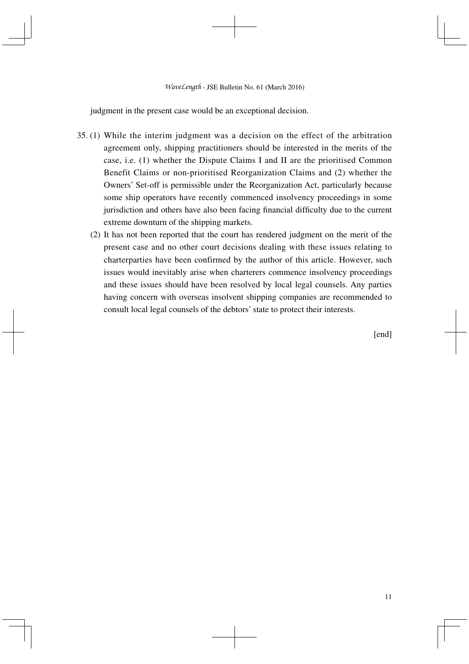judgment in the present case would be an exceptional decision.

- 35. (1) While the interim judgment was a decision on the effect of the arbitration agreement only, shipping practitioners should be interested in the merits of the case, i.e. (1) whether the Dispute Claims I and II are the prioritised Common Benefit Claims or non-prioritised Reorganization Claims and (2) whether the Owners' Set-off is permissible under the Reorganization Act, particularly because some ship operators have recently commenced insolvency proceedings in some jurisdiction and others have also been facing financial difficulty due to the current extreme downturn of the shipping markets.
	- (2) It has not been reported that the court has rendered judgment on the merit of the present case and no other court decisions dealing with these issues relating to charterparties have been confirmed by the author of this article. However, such issues would inevitably arise when charterers commence insolvency proceedings and these issues should have been resolved by local legal counsels. Any parties having concern with overseas insolvent shipping companies are recommended to consult local legal counsels of the debtors' state to protect their interests.

[end]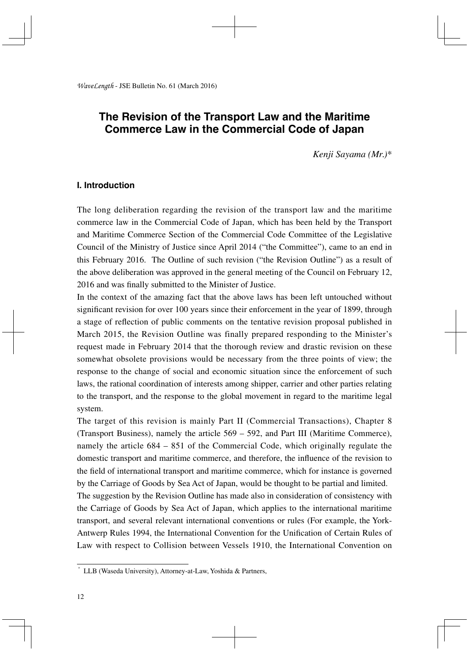# **The Revision of the Transport Law and the Maritime Commerce Law in the Commercial Code of Japan**

*Kenji Sayama (Mr.)\**

#### **Ⅰ. Introduction**

The long deliberation regarding the revision of the transport law and the maritime commerce law in the Commercial Code of Japan, which has been held by the Transport and Maritime Commerce Section of the Commercial Code Committee of the Legislative Council of the Ministry of Justice since April 2014 ("the Committee"), came to an end in this February 2016. The Outline of such revision ("the Revision Outline") as a result of the above deliberation was approved in the general meeting of the Council on February 12, 2016 and was finally submitted to the Minister of Justice.

In the context of the amazing fact that the above laws has been left untouched without significant revision for over 100 years since their enforcement in the year of 1899, through a stage of reflection of public comments on the tentative revision proposal published in March 2015, the Revision Outline was finally prepared responding to the Minister's request made in February 2014 that the thorough review and drastic revision on these somewhat obsolete provisions would be necessary from the three points of view; the response to the change of social and economic situation since the enforcement of such laws, the rational coordination of interests among shipper, carrier and other parties relating to the transport, and the response to the global movement in regard to the maritime legal system.

The target of this revision is mainly Part II (Commercial Transactions), Chapter 8 (Transport Business), namely the article 569 – 592, and Part III (Maritime Commerce), namely the article 684 – 851 of the Commercial Code, which originally regulate the domestic transport and maritime commerce, and therefore, the influence of the revision to the field of international transport and maritime commerce, which for instance is governed by the Carriage of Goods by Sea Act of Japan, would be thought to be partial and limited. The suggestion by the Revision Outline has made also in consideration of consistency with the Carriage of Goods by Sea Act of Japan, which applies to the international maritime transport, and several relevant international conventions or rules (For example, the York-Antwerp Rules 1994, the International Convention for the Unification of Certain Rules of Law with respect to Collision between Vessels 1910, the International Convention on

<sup>\*</sup> LLB (Waseda University), Attorney-at-Law, Yoshida & Partners,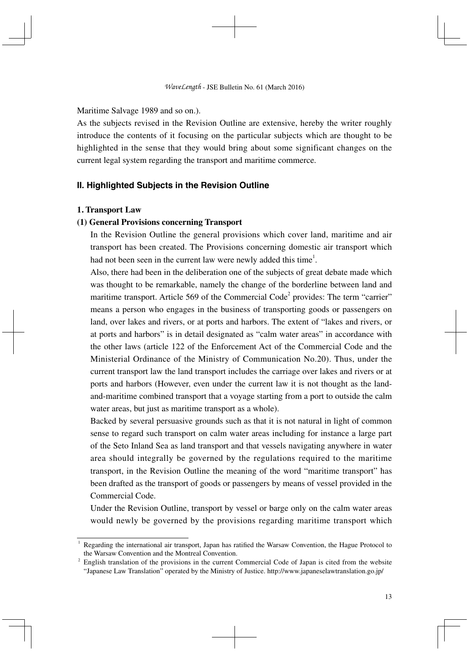Maritime Salvage 1989 and so on.).

As the subjects revised in the Revision Outline are extensive, hereby the writer roughly introduce the contents of it focusing on the particular subjects which are thought to be highlighted in the sense that they would bring about some significant changes on the current legal system regarding the transport and maritime commerce.

# **Ⅱ. Highlighted Subjects in the Revision Outline**

#### **1. Transport Law**

#### **(1) General Provisions concerning Transport**

In the Revision Outline the general provisions which cover land, maritime and air transport has been created. The Provisions concerning domestic air transport which had not been seen in the current law were newly added this time<sup>1</sup>.

Also, there had been in the deliberation one of the subjects of great debate made which was thought to be remarkable, namely the change of the borderline between land and maritime transport. Article 569 of the Commercial Code<sup>2</sup> provides: The term "carrier" means a person who engages in the business of transporting goods or passengers on land, over lakes and rivers, or at ports and harbors. The extent of "lakes and rivers, or at ports and harbors" is in detail designated as "calm water areas" in accordance with the other laws (article 122 of the Enforcement Act of the Commercial Code and the Ministerial Ordinance of the Ministry of Communication No.20). Thus, under the current transport law the land transport includes the carriage over lakes and rivers or at ports and harbors (However, even under the current law it is not thought as the landand-maritime combined transport that a voyage starting from a port to outside the calm water areas, but just as maritime transport as a whole).

Backed by several persuasive grounds such as that it is not natural in light of common sense to regard such transport on calm water areas including for instance a large part of the Seto Inland Sea as land transport and that vessels navigating anywhere in water area should integrally be governed by the regulations required to the maritime transport, in the Revision Outline the meaning of the word "maritime transport" has been drafted as the transport of goods or passengers by means of vessel provided in the Commercial Code.

Under the Revision Outline, transport by vessel or barge only on the calm water areas would newly be governed by the provisions regarding maritime transport which

<sup>1</sup> Regarding the international air transport, Japan has ratified the Warsaw Convention, the Hague Protocol to the Warsaw Convention and the Montreal Convention.

<sup>&</sup>lt;sup>2</sup> English translation of the provisions in the current Commercial Code of Japan is cited from the website "Japanese Law Translation" operated by the Ministry of Justice. http://www.japaneselawtranslation.go.jp/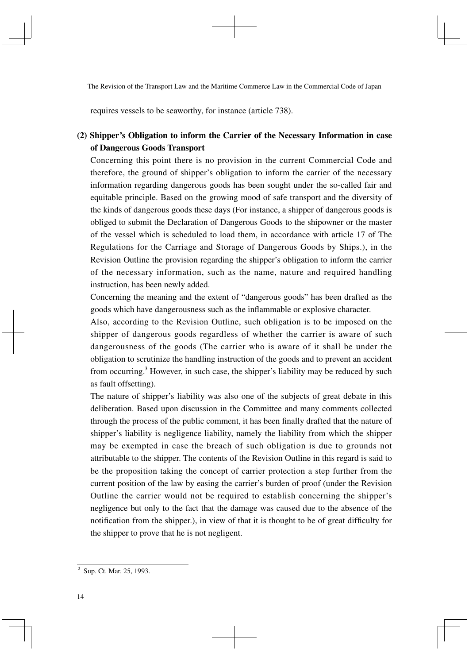requires vessels to be seaworthy, for instance (article 738).

# **(2) Shipper's Obligation to inform the Carrier of the Necessary Information in case of Dangerous Goods Transport**

Concerning this point there is no provision in the current Commercial Code and therefore, the ground of shipper's obligation to inform the carrier of the necessary information regarding dangerous goods has been sought under the so-called fair and equitable principle. Based on the growing mood of safe transport and the diversity of the kinds of dangerous goods these days (For instance, a shipper of dangerous goods is obliged to submit the Declaration of Dangerous Goods to the shipowner or the master of the vessel which is scheduled to load them, in accordance with article 17 of The Regulations for the Carriage and Storage of Dangerous Goods by Ships.), in the Revision Outline the provision regarding the shipper's obligation to inform the carrier of the necessary information, such as the name, nature and required handling instruction, has been newly added.

Concerning the meaning and the extent of "dangerous goods" has been drafted as the goods which have dangerousness such as the inflammable or explosive character.

Also, according to the Revision Outline, such obligation is to be imposed on the shipper of dangerous goods regardless of whether the carrier is aware of such dangerousness of the goods (The carrier who is aware of it shall be under the obligation to scrutinize the handling instruction of the goods and to prevent an accident from occurring.<sup>3</sup> However, in such case, the shipper's liability may be reduced by such as fault offsetting).

The nature of shipper's liability was also one of the subjects of great debate in this deliberation. Based upon discussion in the Committee and many comments collected through the process of the public comment, it has been finally drafted that the nature of shipper's liability is negligence liability, namely the liability from which the shipper may be exempted in case the breach of such obligation is due to grounds not attributable to the shipper. The contents of the Revision Outline in this regard is said to be the proposition taking the concept of carrier protection a step further from the current position of the law by easing the carrier's burden of proof (under the Revision Outline the carrier would not be required to establish concerning the shipper's negligence but only to the fact that the damage was caused due to the absence of the notification from the shipper.), in view of that it is thought to be of great difficulty for the shipper to prove that he is not negligent.

<sup>&</sup>lt;sup>3</sup> Sup. Ct. Mar. 25, 1993.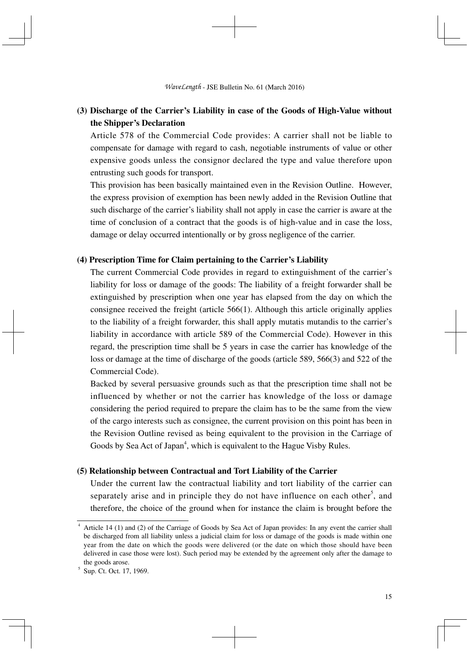# **(3) Discharge of the Carrier's Liability in case of the Goods of High-Value without the Shipper's Declaration**

Article 578 of the Commercial Code provides: A carrier shall not be liable to compensate for damage with regard to cash, negotiable instruments of value or other expensive goods unless the consignor declared the type and value therefore upon entrusting such goods for transport.

This provision has been basically maintained even in the Revision Outline. However, the express provision of exemption has been newly added in the Revision Outline that such discharge of the carrier's liability shall not apply in case the carrier is aware at the time of conclusion of a contract that the goods is of high-value and in case the loss, damage or delay occurred intentionally or by gross negligence of the carrier.

#### **(4) Prescription Time for Claim pertaining to the Carrier's Liability**

The current Commercial Code provides in regard to extinguishment of the carrier's liability for loss or damage of the goods: The liability of a freight forwarder shall be extinguished by prescription when one year has elapsed from the day on which the consignee received the freight (article 566(1). Although this article originally applies to the liability of a freight forwarder, this shall apply mutatis mutandis to the carrier's liability in accordance with article 589 of the Commercial Code). However in this regard, the prescription time shall be 5 years in case the carrier has knowledge of the loss or damage at the time of discharge of the goods (article 589, 566(3) and 522 of the Commercial Code).

Backed by several persuasive grounds such as that the prescription time shall not be influenced by whether or not the carrier has knowledge of the loss or damage considering the period required to prepare the claim has to be the same from the view of the cargo interests such as consignee, the current provision on this point has been in the Revision Outline revised as being equivalent to the provision in the Carriage of Goods by Sea Act of Japan<sup>4</sup>, which is equivalent to the Hague Visby Rules.

#### **(5) Relationship between Contractual and Tort Liability of the Carrier**

Under the current law the contractual liability and tort liability of the carrier can separately arise and in principle they do not have influence on each other<sup>5</sup>, and therefore, the choice of the ground when for instance the claim is brought before the

<sup>4</sup> Article 14 (1) and (2) of the Carriage of Goods by Sea Act of Japan provides: In any event the carrier shall be discharged from all liability unless a judicial claim for loss or damage of the goods is made within one year from the date on which the goods were delivered (or the date on which those should have been delivered in case those were lost). Such period may be extended by the agreement only after the damage to the goods arose.

<sup>&</sup>lt;sup>5</sup> Sup. Ct. Oct. 17, 1969.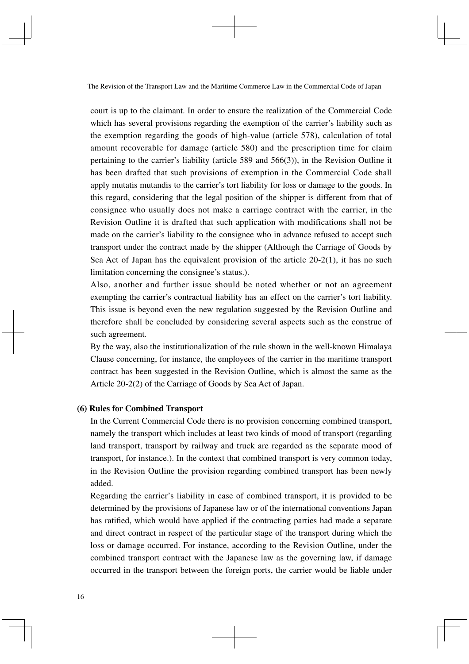court is up to the claimant. In order to ensure the realization of the Commercial Code which has several provisions regarding the exemption of the carrier's liability such as the exemption regarding the goods of high-value (article 578), calculation of total amount recoverable for damage (article 580) and the prescription time for claim pertaining to the carrier's liability (article 589 and 566(3)), in the Revision Outline it has been drafted that such provisions of exemption in the Commercial Code shall apply mutatis mutandis to the carrier's tort liability for loss or damage to the goods. In this regard, considering that the legal position of the shipper is different from that of consignee who usually does not make a carriage contract with the carrier, in the Revision Outline it is drafted that such application with modifications shall not be made on the carrier's liability to the consignee who in advance refused to accept such transport under the contract made by the shipper (Although the Carriage of Goods by Sea Act of Japan has the equivalent provision of the article  $20-2(1)$ , it has no such limitation concerning the consignee's status.).

Also, another and further issue should be noted whether or not an agreement exempting the carrier's contractual liability has an effect on the carrier's tort liability. This issue is beyond even the new regulation suggested by the Revision Outline and therefore shall be concluded by considering several aspects such as the construe of such agreement.

By the way, also the institutionalization of the rule shown in the well-known Himalaya Clause concerning, for instance, the employees of the carrier in the maritime transport contract has been suggested in the Revision Outline, which is almost the same as the Article 20-2(2) of the Carriage of Goods by Sea Act of Japan.

#### **(6) Rules for Combined Transport**

In the Current Commercial Code there is no provision concerning combined transport, namely the transport which includes at least two kinds of mood of transport (regarding land transport, transport by railway and truck are regarded as the separate mood of transport, for instance.). In the context that combined transport is very common today, in the Revision Outline the provision regarding combined transport has been newly added.

Regarding the carrier's liability in case of combined transport, it is provided to be determined by the provisions of Japanese law or of the international conventions Japan has ratified, which would have applied if the contracting parties had made a separate and direct contract in respect of the particular stage of the transport during which the loss or damage occurred. For instance, according to the Revision Outline, under the combined transport contract with the Japanese law as the governing law, if damage occurred in the transport between the foreign ports, the carrier would be liable under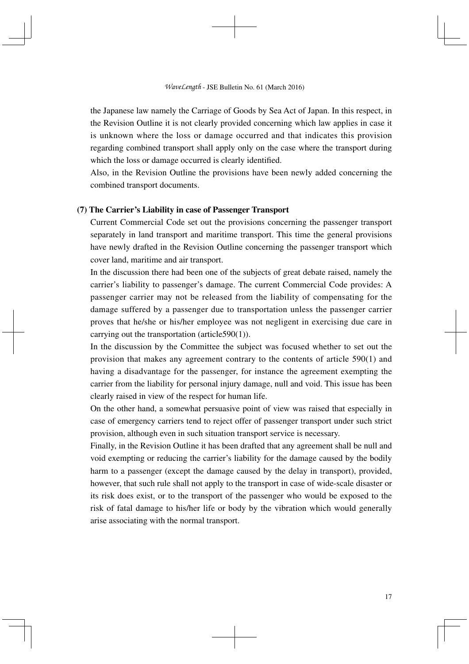the Japanese law namely the Carriage of Goods by Sea Act of Japan. In this respect, in the Revision Outline it is not clearly provided concerning which law applies in case it is unknown where the loss or damage occurred and that indicates this provision regarding combined transport shall apply only on the case where the transport during which the loss or damage occurred is clearly identified.

Also, in the Revision Outline the provisions have been newly added concerning the combined transport documents.

#### **(7) The Carrier's Liability in case of Passenger Transport**

Current Commercial Code set out the provisions concerning the passenger transport separately in land transport and maritime transport. This time the general provisions have newly drafted in the Revision Outline concerning the passenger transport which cover land, maritime and air transport.

In the discussion there had been one of the subjects of great debate raised, namely the carrier's liability to passenger's damage. The current Commercial Code provides: A passenger carrier may not be released from the liability of compensating for the damage suffered by a passenger due to transportation unless the passenger carrier proves that he/she or his/her employee was not negligent in exercising due care in carrying out the transportation (article590(1)).

In the discussion by the Committee the subject was focused whether to set out the provision that makes any agreement contrary to the contents of article 590(1) and having a disadvantage for the passenger, for instance the agreement exempting the carrier from the liability for personal injury damage, null and void. This issue has been clearly raised in view of the respect for human life.

On the other hand, a somewhat persuasive point of view was raised that especially in case of emergency carriers tend to reject offer of passenger transport under such strict provision, although even in such situation transport service is necessary.

Finally, in the Revision Outline it has been drafted that any agreement shall be null and void exempting or reducing the carrier's liability for the damage caused by the bodily harm to a passenger (except the damage caused by the delay in transport), provided, however, that such rule shall not apply to the transport in case of wide-scale disaster or its risk does exist, or to the transport of the passenger who would be exposed to the risk of fatal damage to his/her life or body by the vibration which would generally arise associating with the normal transport.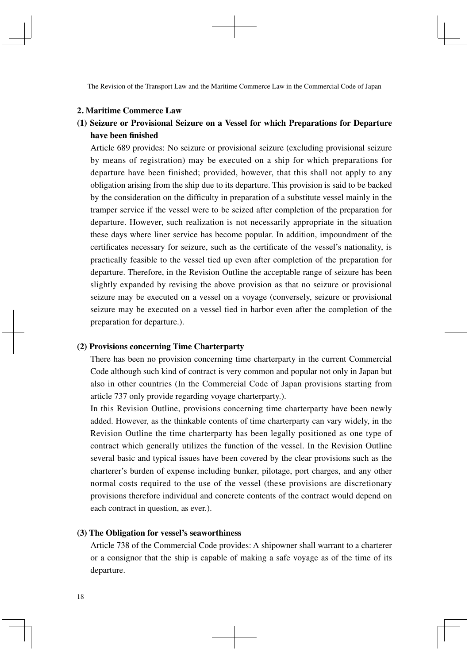The Revision of the Transport Law and the Maritime Commerce Law in the Commercial Code of Japan

#### **2. Maritime Commerce Law**

# **(1) Seizure or Provisional Seizure on a Vessel for which Preparations for Departure**  have been finished

Article 689 provides: No seizure or provisional seizure (excluding provisional seizure by means of registration) may be executed on a ship for which preparations for departure have been finished; provided, however, that this shall not apply to any obligation arising from the ship due to its departure. This provision is said to be backed by the consideration on the difficulty in preparation of a substitute vessel mainly in the tramper service if the vessel were to be seized after completion of the preparation for departure. However, such realization is not necessarily appropriate in the situation these days where liner service has become popular. In addition, impoundment of the certificates necessary for seizure, such as the certificate of the vessel's nationality, is practically feasible to the vessel tied up even after completion of the preparation for departure. Therefore, in the Revision Outline the acceptable range of seizure has been slightly expanded by revising the above provision as that no seizure or provisional seizure may be executed on a vessel on a voyage (conversely, seizure or provisional seizure may be executed on a vessel tied in harbor even after the completion of the preparation for departure.).

#### **(2) Provisions concerning Time Charterparty**

There has been no provision concerning time charterparty in the current Commercial Code although such kind of contract is very common and popular not only in Japan but also in other countries (In the Commercial Code of Japan provisions starting from article 737 only provide regarding voyage charterparty.).

In this Revision Outline, provisions concerning time charterparty have been newly added. However, as the thinkable contents of time charterparty can vary widely, in the Revision Outline the time charterparty has been legally positioned as one type of contract which generally utilizes the function of the vessel. In the Revision Outline several basic and typical issues have been covered by the clear provisions such as the charterer's burden of expense including bunker, pilotage, port charges, and any other normal costs required to the use of the vessel (these provisions are discretionary provisions therefore individual and concrete contents of the contract would depend on each contract in question, as ever.).

#### **(3) The Obligation for vessel's seaworthiness**

Article 738 of the Commercial Code provides: A shipowner shall warrant to a charterer or a consignor that the ship is capable of making a safe voyage as of the time of its departure.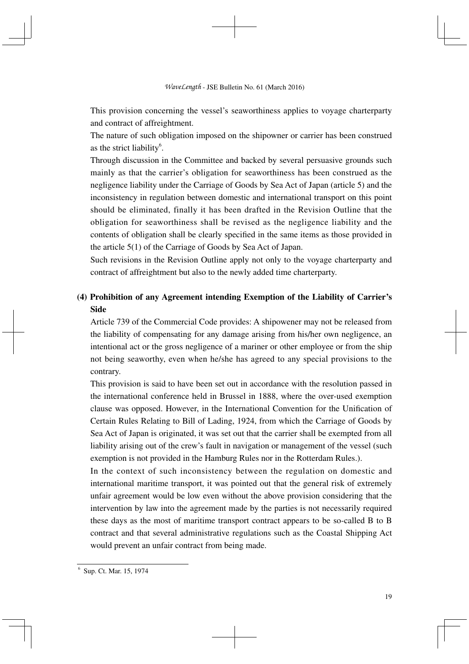This provision concerning the vessel's seaworthiness applies to voyage charterparty and contract of affreightment.

The nature of such obligation imposed on the shipowner or carrier has been construed as the strict liability<sup>6</sup>.

Through discussion in the Committee and backed by several persuasive grounds such mainly as that the carrier's obligation for seaworthiness has been construed as the negligence liability under the Carriage of Goods by Sea Act of Japan (article 5) and the inconsistency in regulation between domestic and international transport on this point should be eliminated, finally it has been drafted in the Revision Outline that the obligation for seaworthiness shall be revised as the negligence liability and the contents of obligation shall be clearly specified in the same items as those provided in the article 5(1) of the Carriage of Goods by Sea Act of Japan.

Such revisions in the Revision Outline apply not only to the voyage charterparty and contract of affreightment but also to the newly added time charterparty.

# **(4) Prohibition of any Agreement intending Exemption of the Liability of Carrier's Side**

Article 739 of the Commercial Code provides: A shipowener may not be released from the liability of compensating for any damage arising from his/her own negligence, an intentional act or the gross negligence of a mariner or other employee or from the ship not being seaworthy, even when he/she has agreed to any special provisions to the contrary.

This provision is said to have been set out in accordance with the resolution passed in the international conference held in Brussel in 1888, where the over-used exemption clause was opposed. However, in the International Convention for the Unification of Certain Rules Relating to Bill of Lading, 1924, from which the Carriage of Goods by Sea Act of Japan is originated, it was set out that the carrier shall be exempted from all liability arising out of the crew's fault in navigation or management of the vessel (such exemption is not provided in the Hamburg Rules nor in the Rotterdam Rules.).

In the context of such inconsistency between the regulation on domestic and international maritime transport, it was pointed out that the general risk of extremely unfair agreement would be low even without the above provision considering that the intervention by law into the agreement made by the parties is not necessarily required these days as the most of maritime transport contract appears to be so-called B to B contract and that several administrative regulations such as the Coastal Shipping Act would prevent an unfair contract from being made.

<sup>6</sup> Sup. Ct. Mar. 15, 1974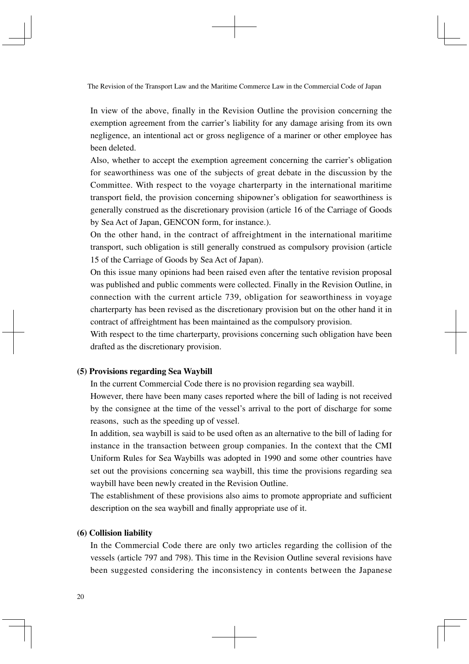The Revision of the Transport Law and the Maritime Commerce Law in the Commercial Code of Japan

In view of the above, finally in the Revision Outline the provision concerning the exemption agreement from the carrier's liability for any damage arising from its own negligence, an intentional act or gross negligence of a mariner or other employee has been deleted.

Also, whether to accept the exemption agreement concerning the carrier's obligation for seaworthiness was one of the subjects of great debate in the discussion by the Committee. With respect to the voyage charterparty in the international maritime transport field, the provision concerning shipowner's obligation for seaworthiness is generally construed as the discretionary provision (article 16 of the Carriage of Goods by Sea Act of Japan, GENCON form, for instance.).

On the other hand, in the contract of affreightment in the international maritime transport, such obligation is still generally construed as compulsory provision (article 15 of the Carriage of Goods by Sea Act of Japan).

On this issue many opinions had been raised even after the tentative revision proposal was published and public comments were collected. Finally in the Revision Outline, in connection with the current article 739, obligation for seaworthiness in voyage charterparty has been revised as the discretionary provision but on the other hand it in contract of affreightment has been maintained as the compulsory provision.

With respect to the time charterparty, provisions concerning such obligation have been drafted as the discretionary provision.

#### **(5) Provisions regarding Sea Waybill**

In the current Commercial Code there is no provision regarding sea waybill.

However, there have been many cases reported where the bill of lading is not received by the consignee at the time of the vessel's arrival to the port of discharge for some reasons, such as the speeding up of vessel.

In addition, sea waybill is said to be used often as an alternative to the bill of lading for instance in the transaction between group companies. In the context that the CMI Uniform Rules for Sea Waybills was adopted in 1990 and some other countries have set out the provisions concerning sea waybill, this time the provisions regarding sea waybill have been newly created in the Revision Outline.

The establishment of these provisions also aims to promote appropriate and sufficient description on the sea waybill and finally appropriate use of it.

#### **(6) Collision liability**

In the Commercial Code there are only two articles regarding the collision of the vessels (article 797 and 798). This time in the Revision Outline several revisions have been suggested considering the inconsistency in contents between the Japanese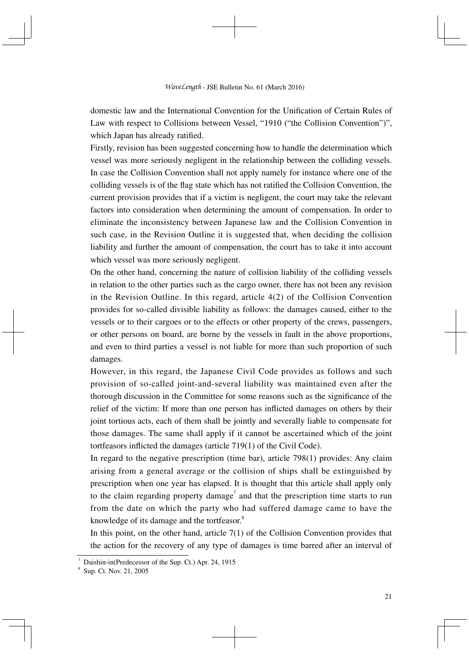domestic law and the International Convention for the Unification of Certain Rules of Law with respect to Collisions between Vessel, "1910 ("the Collision Convention")". which Japan has already ratified.

Firstly, revision has been suggested concerning how to handle the determination which vessel was more seriously negligent in the relationship between the colliding vessels. In case the Collision Convention shall not apply namely for instance where one of the colliding vessels is of the flag state which has not ratified the Collision Convention, the current provision provides that if a victim is negligent, the court may take the relevant factors into consideration when determining the amount of compensation. In order to eliminate the inconsistency between Japanese law and the Collision Convention in such case, in the Revision Outline it is suggested that, when deciding the collision liability and further the amount of compensation, the court has to take it into account which vessel was more seriously negligent.

On the other hand, concerning the nature of collision liability of the colliding vessels in relation to the other parties such as the cargo owner, there has not been any revision in the Revision Outline. In this regard, article  $4(2)$  of the Collision Convention provides for so-called divisible liability as follows: the damages caused, either to the vessels or to their cargoes or to the effects or other property of the crews, passengers, or other persons on board, are borne by the vessels in fault in the above proportions, and even to third parties a vessel is not liable for more than such proportion of such damages.

However, in this regard, the Japanese Civil Code provides as follows and such provision of so-called joint-and-several liability was maintained even after the thorough discussion in the Committee for some reasons such as the significance of the relief of the victim: If more than one person has inflicted damages on others by their joint tortious acts, each of them shall be jointly and severally liable to compensate for those damages. The same shall apply if it cannot be ascertained which of the joint tortfeasors inflicted the damages (article 719(1) of the Civil Code).

In regard to the negative prescription (time bar), article 798(1) provides: Any claim arising from a general average or the collision of ships shall be extinguished by prescription when one year has elapsed. It is thought that this article shall apply only to the claim regarding property damage<sup>7</sup> and that the prescription time starts to run from the date on which the party who had suffered damage came to have the knowledge of its damage and the tortfeasor.<sup>8</sup>

In this point, on the other hand, article 7(1) of the Collision Convention provides that the action for the recovery of any type of damages is time barred after an interval of

<sup>7</sup> Daishin-in(Predecessor of the Sup. Ct.) Apr. 24, 1915

<sup>8</sup> Sup. Ct. Nov. 21, 2005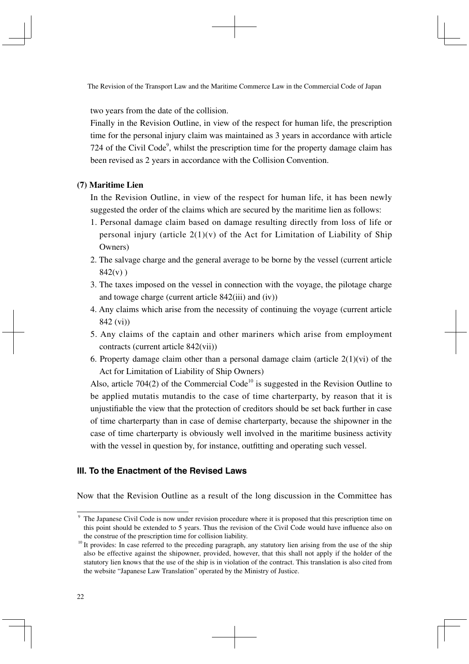two years from the date of the collision.

Finally in the Revision Outline, in view of the respect for human life, the prescription time for the personal injury claim was maintained as 3 years in accordance with article 724 of the Civil Code<sup>9</sup>, whilst the prescription time for the property damage claim has been revised as 2 years in accordance with the Collision Convention.

#### **(7) Maritime Lien**

In the Revision Outline, in view of the respect for human life, it has been newly suggested the order of the claims which are secured by the maritime lien as follows:

- 1. Personal damage claim based on damage resulting directly from loss of life or personal injury (article  $2(1)(v)$  of the Act for Limitation of Liability of Ship Owners)
- 2. The salvage charge and the general average to be borne by the vessel (current article  $842(v)$ )
- 3. The taxes imposed on the vessel in connection with the voyage, the pilotage charge and towage charge (current article 842(iii) and (iv))
- 4. Any claims which arise from the necessity of continuing the voyage (current article 842 (vi))
- 5. Any claims of the captain and other mariners which arise from employment contracts (current article 842(vii))
- 6. Property damage claim other than a personal damage claim (article  $2(1)(vi)$ ) of the Act for Limitation of Liability of Ship Owners)

Also, article 704(2) of the Commercial Code<sup>10</sup> is suggested in the Revision Outline to be applied mutatis mutandis to the case of time charterparty, by reason that it is unjustifi able the view that the protection of creditors should be set back further in case of time charterparty than in case of demise charterparty, because the shipowner in the case of time charterparty is obviously well involved in the maritime business activity with the vessel in question by, for instance, outfitting and operating such vessel.

# **Ⅲ. To the Enactment of the Revised Laws**

Now that the Revision Outline as a result of the long discussion in the Committee has

<sup>&</sup>lt;sup>9</sup> The Japanese Civil Code is now under revision procedure where it is proposed that this prescription time on this point should be extended to 5 years. Thus the revision of the Civil Code would have influence also on the construe of the prescription time for collision liability.

<sup>&</sup>lt;sup>10</sup> It provides: In case referred to the preceding paragraph, any statutory lien arising from the use of the ship also be effective against the shipowner, provided, however, that this shall not apply if the holder of the statutory lien knows that the use of the ship is in violation of the contract. This translation is also cited from the website "Japanese Law Translation" operated by the Ministry of Justice.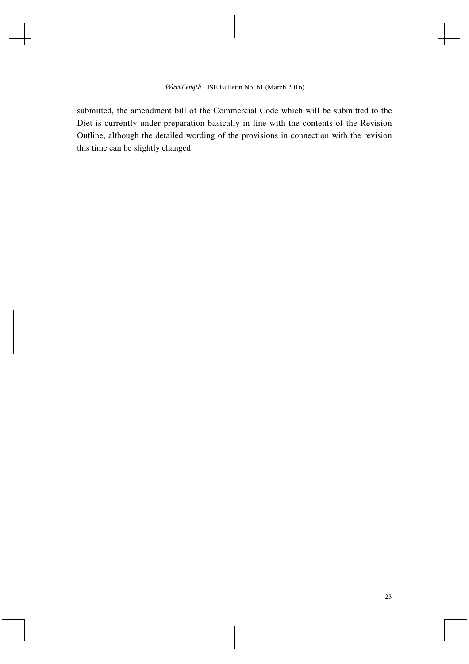submitted, the amendment bill of the Commercial Code which will be submitted to the Diet is currently under preparation basically in line with the contents of the Revision Outline, although the detailed wording of the provisions in connection with the revision this time can be slightly changed.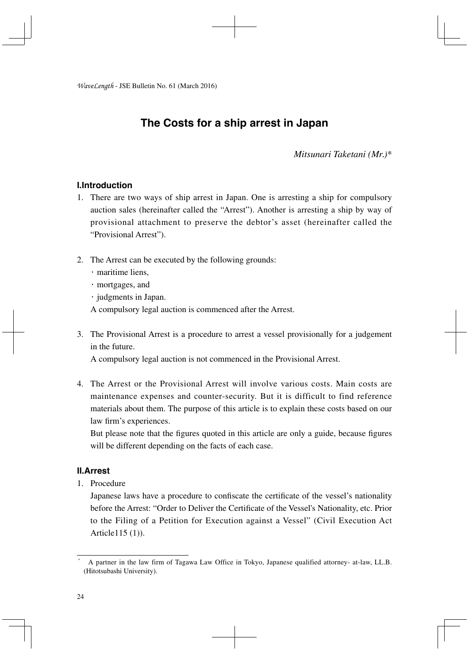# **The Costs for a ship arrest in Japan**

*Mitsunari Taketani (Mr.)\**

## **Ⅰ.Introduction**

- 1. There are two ways of ship arrest in Japan. One is arresting a ship for compulsory auction sales (hereinafter called the "Arrest"). Another is arresting a ship by way of provisional attachment to preserve the debtor's asset (hereinafter called the "Provisional Arrest").
- 2. The Arrest can be executed by the following grounds:
	- ・maritime liens,
	- ・mortgages, and
	- ・judgments in Japan.

A compulsory legal auction is commenced after the Arrest.

3. The Provisional Arrest is a procedure to arrest a vessel provisionally for a judgement in the future.

A compulsory legal auction is not commenced in the Provisional Arrest.

4. The Arrest or the Provisional Arrest will involve various costs. Main costs are maintenance expenses and counter-security. But it is difficult to find reference materials about them. The purpose of this article is to explain these costs based on our law firm's experiences.

But please note that the figures quoted in this article are only a guide, because figures will be different depending on the facts of each case.

#### **Ⅱ.Arrest**

1. Procedure

Japanese laws have a procedure to confiscate the certificate of the vessel's nationality before the Arrest: "Order to Deliver the Certificate of the Vessel's Nationality, etc. Prior to the Filing of a Petition for Execution against a Vessel" (Civil Execution Act Article115 (1)).

<sup>\*</sup> A partner in the law firm of Tagawa Law Office in Tokyo, Japanese qualified attorney- at-law, LL.B. (Hitotsubashi University).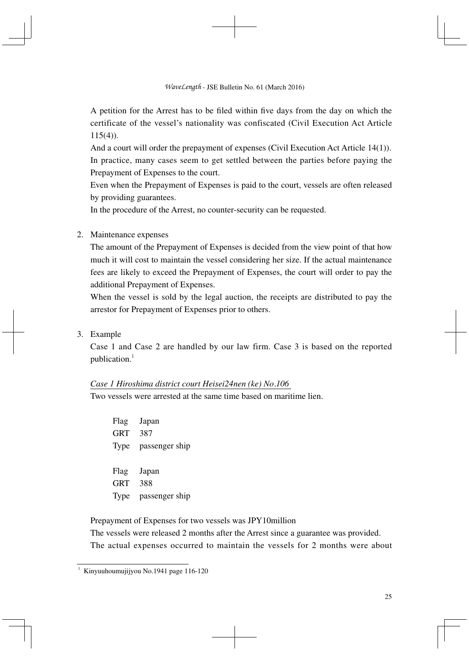A petition for the Arrest has to be filed within five days from the day on which the certificate of the vessel's nationality was confiscated (Civil Execution Act Article  $115(4)$ ).

And a court will order the prepayment of expenses (Civil Execution Act Article 14(1)). In practice, many cases seem to get settled between the parties before paying the Prepayment of Expenses to the court.

Even when the Prepayment of Expenses is paid to the court, vessels are often released by providing guarantees.

In the procedure of the Arrest, no counter-security can be requested.

## 2. Maintenance expenses

The amount of the Prepayment of Expenses is decided from the view point of that how much it will cost to maintain the vessel considering her size. If the actual maintenance fees are likely to exceed the Prepayment of Expenses, the court will order to pay the additional Prepayment of Expenses.

When the vessel is sold by the legal auction, the receipts are distributed to pay the arrestor for Prepayment of Expenses prior to others.

3. Example

Case 1 and Case 2 are handled by our law firm. Case 3 is based on the reported publication.<sup>1</sup>

#### *Case 1 Hiroshima district court Heisei24nen (ke) No.106*

Two vessels were arrested at the same time based on maritime lien.

Flag Japan GRT 387 Type passenger ship Flag Japan GRT 388 Type passenger ship

Prepayment of Expenses for two vessels was JPY10million

The vessels were released 2 months after the Arrest since a guarantee was provided. The actual expenses occurred to maintain the vessels for 2 months were about

<sup>1</sup> Kinyuuhoumujijyou No.1941 page 116-120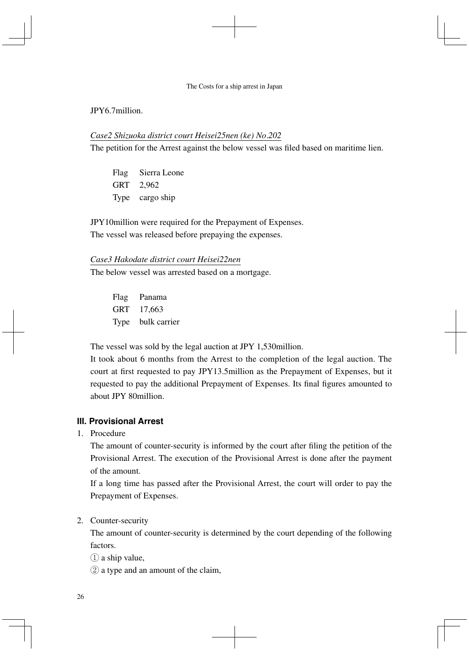# JPY6.7million.

#### *Case2 Shizuoka district court Heisei25nen (ke) No.202*

The petition for the Arrest against the below vessel was filed based on maritime lien.

Flag Sierra Leone GRT 2,962 Type cargo ship

JPY10million were required for the Prepayment of Expenses. The vessel was released before prepaying the expenses.

#### *Case3 Hakodate district court Heisei22nen*

The below vessel was arrested based on a mortgage.

Flag Panama GRT 17,663 Type bulk carrier

The vessel was sold by the legal auction at JPY 1,530million.

It took about 6 months from the Arrest to the completion of the legal auction. The court at first requested to pay JPY13.5million as the Prepayment of Expenses, but it requested to pay the additional Prepayment of Expenses. Its final figures amounted to about JPY 80million.

#### **Ⅲ. Provisional Arrest**

1. Procedure

The amount of counter-security is informed by the court after filing the petition of the Provisional Arrest. The execution of the Provisional Arrest is done after the payment of the amount.

If a long time has passed after the Provisional Arrest, the court will order to pay the Prepayment of Expenses.

2. Counter-security

The amount of counter-security is determined by the court depending of the following factors.

- $(1)$  a ship value.
- ② a type and an amount of the claim,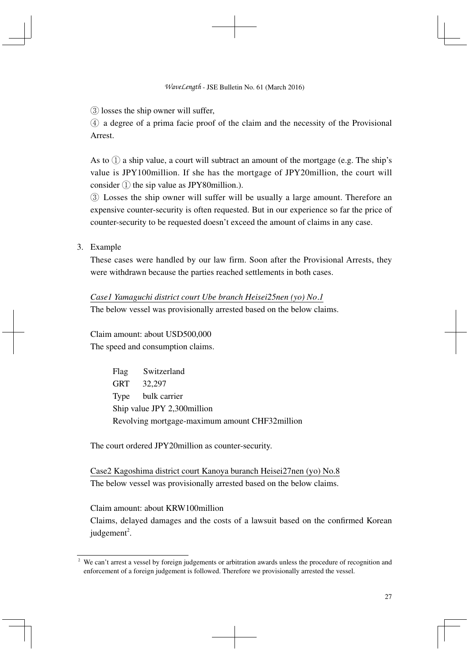③ losses the ship owner will suffer,

 $\Phi$  a degree of a prima facie proof of the claim and the necessity of the Provisional Arrest.

As to  $\Omega$  a ship value, a court will subtract an amount of the mortgage (e.g. The ship's value is JPY100million. If she has the mortgage of JPY20million, the court will consider  $(1)$  the sip value as JPY80 million.).

③ Losses the ship owner will suffer will be usually a large amount. Therefore an expensive counter-security is often requested. But in our experience so far the price of counter-security to be requested doesn't exceed the amount of claims in any case.

3. Example

These cases were handled by our law firm. Soon after the Provisional Arrests, they were withdrawn because the parties reached settlements in both cases.

*Case1 Yamaguchi district court Ube branch Heisei25nen (yo) No.1*

The below vessel was provisionally arrested based on the below claims.

Claim amount: about USD500,000 The speed and consumption claims.

> Flag Switzerland GRT 32,297 Type bulk carrier Ship value JPY 2,300million Revolving mortgage-maximum amount CHF32million

The court ordered JPY20million as counter-security.

Case2 Kagoshima district court Kanoya buranch Heisei27nen (yo) No.8 The below vessel was provisionally arrested based on the below claims.

Claim amount: about KRW100million

Claims, delayed damages and the costs of a lawsuit based on the confirmed Korean judgement<sup>2</sup>.

<sup>&</sup>lt;sup>2</sup> We can't arrest a vessel by foreign judgements or arbitration awards unless the procedure of recognition and enforcement of a foreign judgement is followed. Therefore we provisionally arrested the vessel.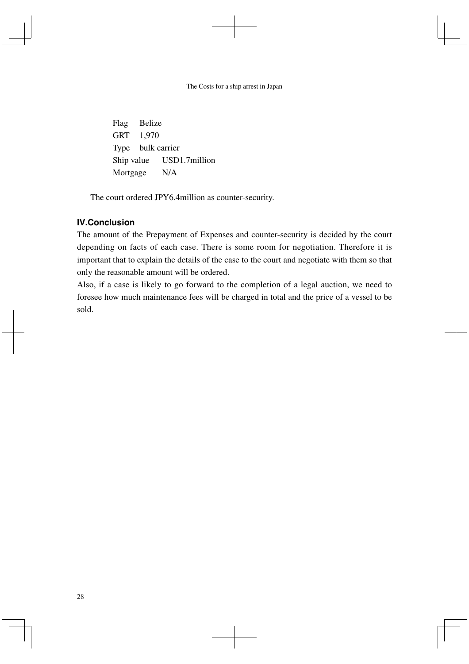Flag Belize GRT 1,970 Type bulk carrier Ship value USD1.7million Mortgage N/A

The court ordered JPY6.4million as counter-security.

# **Ⅳ.Conclusion**

The amount of the Prepayment of Expenses and counter-security is decided by the court depending on facts of each case. There is some room for negotiation. Therefore it is important that to explain the details of the case to the court and negotiate with them so that only the reasonable amount will be ordered.

Also, if a case is likely to go forward to the completion of a legal auction, we need to foresee how much maintenance fees will be charged in total and the price of a vessel to be sold.